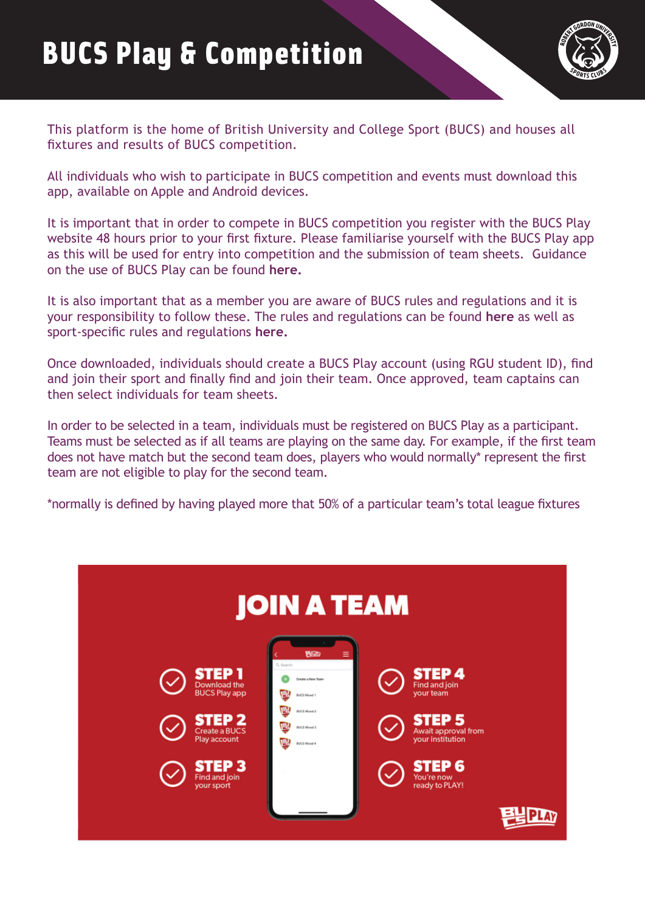

This platform is the home of British University and College Sport (BUCS) and houses all fixtures and results of BUCS competition.

All individuals who wish to participate in BUCS competition and events must download this app, available on Apple and Android devices.

It is important that in order to compete in BUCS competition you register with the BUCS Play website 48 hours prior to your first fixture. Please familiarise yourself with the BUCS Play app as this will be used for entry into competition and the submission of team sheets. Guidance on the use of BUCS Play can be found **[here.](https://bucsappsupport.zendesk.com/hc/en-gb)**

It is also important that as a member you are aware of BUCS rules and regulations and it is your responsibility to follow these. The rules and regulations can be found **[here](https://www.bucs.org.uk/rules-and-regulations.html)** as well as sport-specific rules and regulations **[here.](https://www.bucs.org.uk/rules-and-regulations/sport.html)**

Once downloaded, individuals should create a BUCS Play account (using RGU student ID), find and join their sport and finally find and join their team. Once approved, team captains can then select individuals for team sheets.

In order to be selected in a team, individuals must be registered on BUCS Play as a participant. Teams must be selected as if all teams are playing on the same day. For example, if the first team does not have match but the second team does, players who would normally\* represent the first team are not eligible to play for the second team.

\*normally is defined by having played more that 50% of a particular team's total league fixtures

| <b>JOIN A TEAM</b>                                                                                                                                    |                                                                                                                                                      |                                                                                                                                                         |  |
|-------------------------------------------------------------------------------------------------------------------------------------------------------|------------------------------------------------------------------------------------------------------------------------------------------------------|---------------------------------------------------------------------------------------------------------------------------------------------------------|--|
| <b>STEP1</b><br>Download the<br><b>BUCS Play app</b><br><b>STEP 2</b><br>Create a BUCS<br>Play account<br><b>STEP3</b><br>Find and join<br>your sport | <b>FUZD</b><br>Ξ<br>Q Search<br>Create a New Team<br>黂<br>BUCS Mixed 1<br>県<br><b>BUCS Mixed 2</b><br><b>BUCS Mood 3</b><br>Ж<br><b>BUCS Mixed 4</b> | <b>STEP4</b><br>Find and join<br>your team<br><b>STEP 5</b><br>Await approval from<br>your institution<br><b>STEP 6</b><br>You're now<br>ready to PLAY! |  |
|                                                                                                                                                       |                                                                                                                                                      |                                                                                                                                                         |  |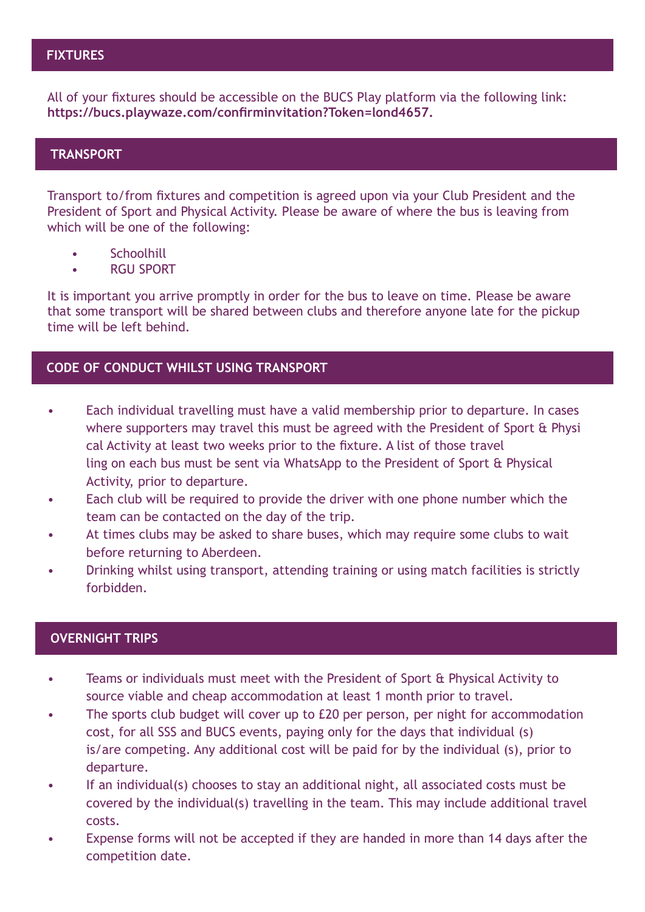## **FIXTURES**

All of your fixtures should be accessible on the BUCS Play platform via the following link: **[https://bucs.playwaze.com/confirminvitation?Token=lond4657.](https://bucs.playwaze.com/confirminvitation?Token=lond4657)**

## **TRANSPORT**

Transport to/from fixtures and competition is agreed upon via your Club President and the President of Sport and Physical Activity. Please be aware of where the bus is leaving from which will be one of the following:

- Schoolhill
- RGU SPORT

It is important you arrive promptly in order for the bus to leave on time. Please be aware that some transport will be shared between clubs and therefore anyone late for the pickup time will be left behind.

#### **CODE OF CONDUCT WHILST USING TRANSPORT**

- Each individual travelling must have a valid membership prior to departure. In cases where supporters may travel this must be agreed with the President of Sport & Physi cal Activity at least two weeks prior to the fixture. A list of those travel ling on each bus must be sent via WhatsApp to the President of Sport & Physical Activity, prior to departure.
- Each club will be required to provide the driver with one phone number which the team can be contacted on the day of the trip.
- At times clubs may be asked to share buses, which may require some clubs to wait before returning to Aberdeen.
- Drinking whilst using transport, attending training or using match facilities is strictly forbidden.

### **OVERNIGHT TRIPS**

- Teams or individuals must meet with the President of Sport & Physical Activity to source viable and cheap accommodation at least 1 month prior to travel.
- The sports club budget will cover up to £20 per person, per night for accommodation cost, for all SSS and BUCS events, paying only for the days that individual (s) is/are competing. Any additional cost will be paid for by the individual (s), prior to departure.
- If an individual(s) chooses to stay an additional night, all associated costs must be covered by the individual(s) travelling in the team. This may include additional travel costs.
- Expense forms will not be accepted if they are handed in more than 14 days after the competition date.